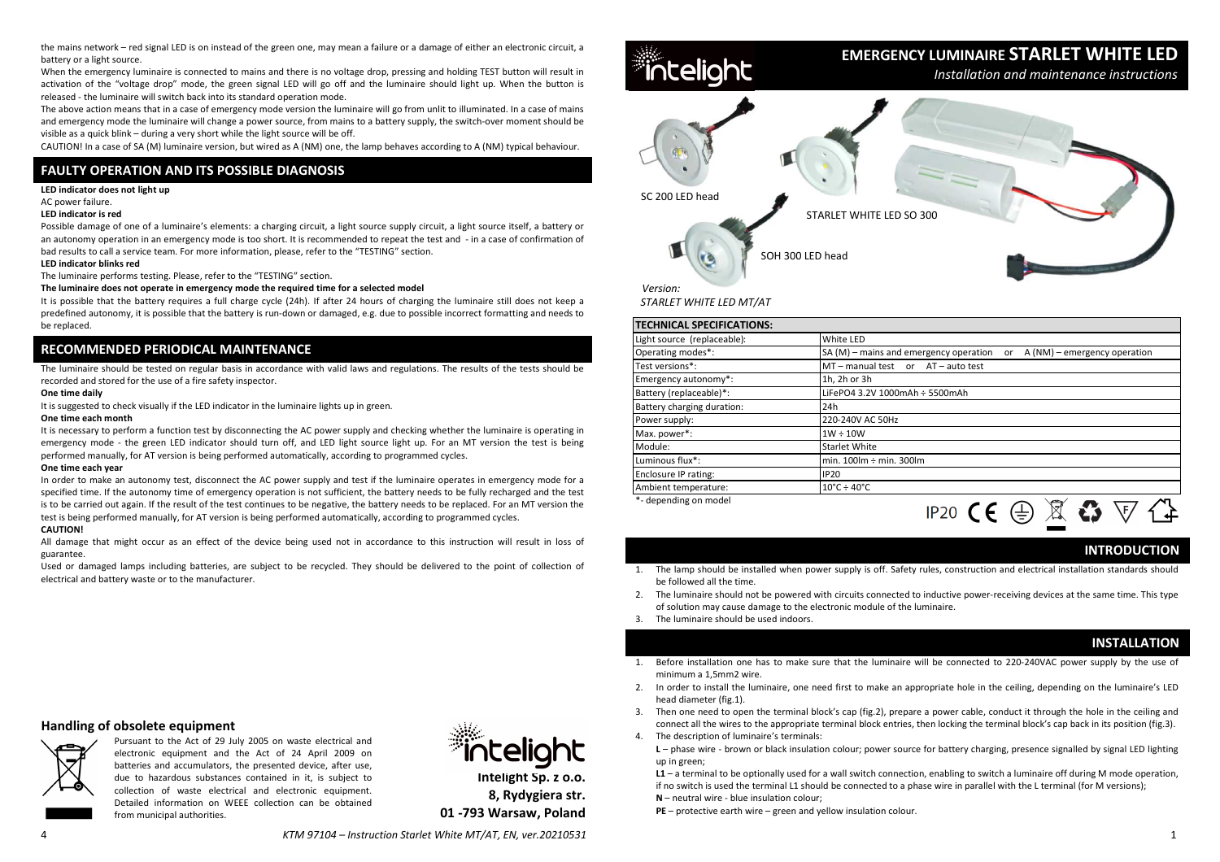the mains network – red signal LED is on instead of the green one, may mean a failure or a damage of either an electronic circuit, a battery or a light source.

 When the emergency luminaire is connected to mains and there is no voltage drop, pressing and holding TEST button will result in activation of the "voltage drop" mode, the green signal LED will go off and the luminaire should light up. When the button is released - the luminaire will switch back into its standard operation mode.

 The above action means that in a case of emergency mode version the luminaire will go from unlit to illuminated. In a case of mains and emergency mode the luminaire will change a power source, from mains to a battery supply, the switch-over moment should be visible as a quick blink – during a very short while the light source will be off.

CAUTION! In a case of SA (M) luminaire version, but wired as A (NM) one, the lamp behaves according to A (NM) typical behaviour.

# **FAULTY OPERATION AND ITS POSSIBLE DIAGNOSIS**

### **LED indicator does not light up**

AC power failure.

## **LED indicator is red**

Possible damage of one of a luminaire's elements: a charging circuit, a light source supply circuit, a light source itself, a battery or an autonomy operation in an emergency mode is too short. It is recommended to repeat the test and - in a case of confirmation of bad results to call a service team. For more information, please, refer to the "TESTING" section.

### **LED indicator blinks red**

The luminaire performs testing. Please, refer to the "TESTING" section.

#### **The luminaire does not operate in emergency mode the required time for a selected model**

 It is possible that the battery requires a full charge cycle (24h). If after 24 hours of charging the luminaire still does not keep a predefined autonomy, it is possible that the battery is run-down or damaged, e.g. due to possible incorrect formatting and needs to be replaced.

# **RECOMMENDED PERIODICAL MAINTENANCE**

The luminaire should be tested on regular basis in accordance with valid laws and regulations. The results of the tests should be recorded and stored for the use of a fire safety inspector.

### **One time daily**

It is suggested to check visually if the LED indicator in the luminaire lights up in green.

#### **One time each month**

 It is necessary to perform a function test by disconnecting the AC power supply and checking whether the luminaire is operating in emergency mode - the green LED indicator should turn off, and LED light source light up. For an MT version the test is being performed manually, for AT version is being performed automatically, according to programmed cycles.

#### **One time each year**

 In order to make an autonomy test, disconnect the AC power supply and test if the luminaire operates in emergency mode for a specified time. If the autonomy time of emergency operation is not sufficient, the battery needs to be fully recharged and the test is to be carried out again. If the result of the test continues to be negative, the battery needs to be replaced. For an MT version the test is being performed manually, for AT version is being performed automatically, according to programmed cycles.

### **CAUTION!**

 All damage that might occur as an effect of the device being used not in accordance to this instruction will result in loss of guarantee.

 Used or damaged lamps including batteries, are subject to be recycled. They should be delivered to the point of collection of electrical and battery waste or to the manufacturer.

# **Handling of obsolete equipment**



 Pursuant to the Act of 29 July 2005 on waste electrical and electronic equipment and the Act of 24 April 2009 on batteries and accumulators, the presented device, after use, due to hazardous substances contained in it, is subject to collection of waste electrical and electronic equipment. Detailed information on WEEE collection can be obtained from municipal authorities.



**Intelight Sp. z o.o.8, Rydygiera str.01 -793 Warsaw, Poland**



 *STARLET WHITE LED MT/AT*

| <b>TECHNICAL SPECIFICATIONS:</b> |                                                                               |
|----------------------------------|-------------------------------------------------------------------------------|
| Light source (replaceable):      | White LED                                                                     |
| Operating modes*:                | $SA(M)$ – mains and emergency operation<br>A (NM) – emergency operation<br>or |
| Test versions*:                  | MT-manual test or AT-auto test                                                |
| Emergency autonomy*:             | 1h, 2h or 3h                                                                  |
| Battery (replaceable)*:          | LiFePO4 3.2V 1000mAh ÷ 5500mAh                                                |
| Battery charging duration:       | 24h                                                                           |
| Power supply:                    | 220-240V AC 50Hz                                                              |
| Max. power*:                     | $1W \div 10W$                                                                 |
| Module:                          | <b>Starlet White</b>                                                          |
| Luminous flux*:                  | min. $100 \text{Im} \div \text{min}$ . $300 \text{Im}$                        |
| Enclosure IP rating:             | <b>IP20</b>                                                                   |
| Ambient temperature:             | $10^{\circ}$ C ÷ 40 $^{\circ}$ C                                              |
| *- depending on model            | IPJN 1                                                                        |

# **INTRODUCTION**

 1. The lamp should be installed when power supply is off. Safety rules, construction and electrical installation standards should be followed all the time.

こく マ

- 2. The luminaire should not be powered with circuits connected to inductive power-receiving devices at the same time. This type of solution may cause damage to the electronic module of the luminaire.
- 3.The luminaire should be used indoors.

# **INSTALLATION**

- 1. Before installation one has to make sure that the luminaire will be connected to 220-240VAC power supply by the use of minimum a 1,5mm2 wire.
- 2. In order to install the luminaire, one need first to make an appropriate hole in the ceiling, depending on the luminaire's LED head diameter (fig.1).
- 3. Then one need to open the terminal block's cap (fig.2), prepare a power cable, conduct it through the hole in the ceiling and connect all the wires to the appropriate terminal block entries, then locking the terminal block's cap back in its position (fig.3).
- 4.The description of luminaire's terminals:
- **L**  phase wire brown or black insulation colour; power source for battery charging, presence signalled by signal LED lighting up in green;

 **L1** – a terminal to be optionally used for a wall switch connection, enabling to switch a luminaire off during M mode operation, if no switch is used the terminal L1 should be connected to a phase wire in parallel with the L terminal (for M versions);**N** – neutral wire - blue insulation colour;

**PE** – protective earth wire – green and yellow insulation colour.